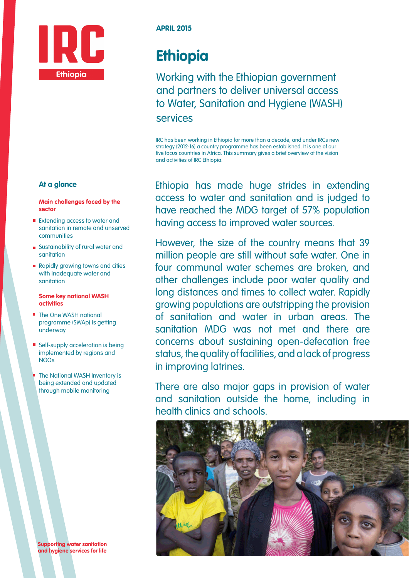

# **APRIL 2015**

# **Ethiopia**

Working with the Ethiopian government and partners to deliver universal access to Water, Sanitation and Hygiene (WASH) services

IRC has been working in Ethiopia for more than a decade, and under IRCs new strategy (2012-16) a country programme has been established. It is one of our five focus countries in Africa. This summary gives a brief overview of the vision and activities of IRC Ethiopia.

Ethiopia has made huge strides in extending access to water and sanitation and is judged to have reached the MDG target of 57% population having access to improved water sources.

However, the size of the country means that 39 million people are still without safe water. One in four communal water schemes are broken, and other challenges include poor water quality and long distances and times to collect water. Rapidly growing populations are outstripping the provision of sanitation and water in urban areas. The sanitation MDG was not met and there are concerns about sustaining open-defecation free status, the quality of facilities, and a lack of progress in improving latrines.

There are also major gaps in provision of water and sanitation outside the home, including in health clinics and schools.



# **At a glance**

#### **Main challenges faced by the sector**

- Extending access to water and sanitation in remote and unserved communities
- **Sustainability of rural water and** sanitation
- Rapidly growing towns and cities with inadequate water and sanitation

## **Some key national WASH activities**

- The One WASH national programme (SWAp) is getting underway
- **Self-supply acceleration is being** implemented by regions and NGOs
- The National WASH Inventory is being extended and updated through mobile monitoring

**Supporting water sanitation and hygiene services for life**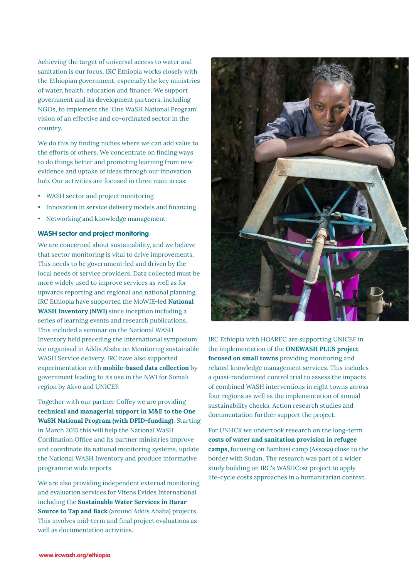Achieving the target of universal access to water and sanitation is our focus. IRC Ethiopia works closely with the Ethiopian government, especially the key ministries of water, health, education and finance. We support government and its development partners, including NGOs, to implement the 'One WaSH National Program' vision of an effective and co-ordinated sector in the country.

We do this by finding niches where we can add value to the efforts of others. We concentrate on finding ways to do things better and promoting learning from new evidence and uptake of ideas through our innovation hub. Our activities are focused in three main areas:

- WASH sector and project monitoring
- Innovation in service delivery models and financing
- Networking and knowledge management

## **WASH sector and project monitoring**

We are concerned about sustainability, and we believe that sector monitoring is vital to drive improvements. This needs to be government-led and driven by the local needs of service providers. Data collected must be more widely used to improve services as well as for upwards reporting and regional and national planning. IRC Ethiopia have supported the MoWIE-led **National WASH Inventory (NWI)** since inception including a series of learning events and research publications. This included a seminar on the National WASH Inventory held preceding the international symposium we organised in Addis Ababa on Monitoring sustainable WASH Service delivery. IRC have also supported experimentation with **mobile-based data collection** by government leading to its use in the NWI for Somali region by Akvo and UNICEF.

Together with our partner Coffey we are providing **technical and managerial support in M&E to the One WaSH National Program (with DFID-funding)**. Starting in March 2015 this will help the National WaSH Cordination Office and its partner ministries improve and coordinate its national monitoring systems, update the National WASH Inventory and produce informative programme wide reports.

We are also providing independent external monitoring and evaluation services for Vitens Evides International including the **Sustainable Water Services in Harar Source to Tap and Back** (around Addis Ababa) projects. This involves mid-term and final project evaluations as well as documentation activities.



IRC Ethiopia with HOAREC are supporting UNICEF in the implementation of the **ONEWASH PLUS project focused on small towns** providing monitoring and related knowledge management services. This includes a quasi-randomised control trial to assess the impacts of combined WASH interventions in eight towns across four regions as well as the implementation of annual sustainability checks. Action research studies and documentation further support the project.

For UNHCR we undertook research on the long-term **costs of water and sanitation provision in refugee camps,** focusing on Bambasi camp (Assosa) close to the border with Sudan. The research was part of a wider study building on IRC's WASHCost project to apply life-cycle costs approaches in a humanitarian context.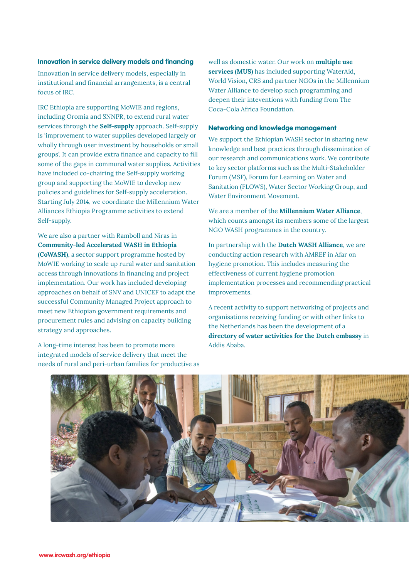#### **Innovation in service delivery models and financing**

Innovation in service delivery models, especially in institutional and financial arrangements, is a central focus of IRC.

IRC Ethiopia are supporting MoWIE and regions, including Oromia and SNNPR, to extend rural water services through the **Self-supply** approach. Self-supply is 'improvement to water supplies developed largely or wholly through user investment by households or small groups'. It can provide extra finance and capacity to fill some of the gaps in communal water supplies. Activities have included co-chairing the Self-supply working group and supporting the MoWIE to develop new policies and guidelines for Self-supply acceleration. Starting July 2014, we coordinate the Millennium Water Alliances Ethiopia Programme activities to extend Self-supply.

We are also a partner with Ramboll and Niras in **Community-led Accelerated WASH in Ethiopia (CoWASH)**, a sector support programme hosted by MoWIE working to scale up rural water and sanitation access through innovations in financing and project implementation. Our work has included developing approaches on behalf of SNV and UNICEF to adapt the successful Community Managed Project approach to meet new Ethiopian government requirements and procurement rules and advising on capacity building strategy and approaches.

A long-time interest has been to promote more integrated models of service delivery that meet the needs of rural and peri-urban families for productive as well as domestic water. Our work on **multiple use services (MUS)** has included supporting WaterAid, World Vision, CRS and partner NGOs in the Millennium Water Alliance to develop such programming and deepen their inteventions with funding from The Coca-Cola Africa Foundation.

## **Networking and knowledge management**

We support the Ethiopian WASH sector in sharing new knowledge and best practices through dissemination of our research and communications work. We contribute to key sector platforms such as the Multi-Stakeholder Forum (MSF), Forum for Learning on Water and Sanitation (FLOWS), Water Sector Working Group, and Water Environment Movement.

We are a member of the **Millennium Water Alliance**, which counts amongst its members some of the largest NGO WASH programmes in the country.

In partnership with the **Dutch WASH Alliance**, we are conducting action research with AMREF in Afar on hygiene promotion. This includes measuring the effectiveness of current hygiene promotion implementation processes and recommending practical improvements.

A recent activity to support networking of projects and organisations receiving funding or with other links to the Netherlands has been the development of a **directory of water activities for the Dutch embassy** in Addis Ababa.